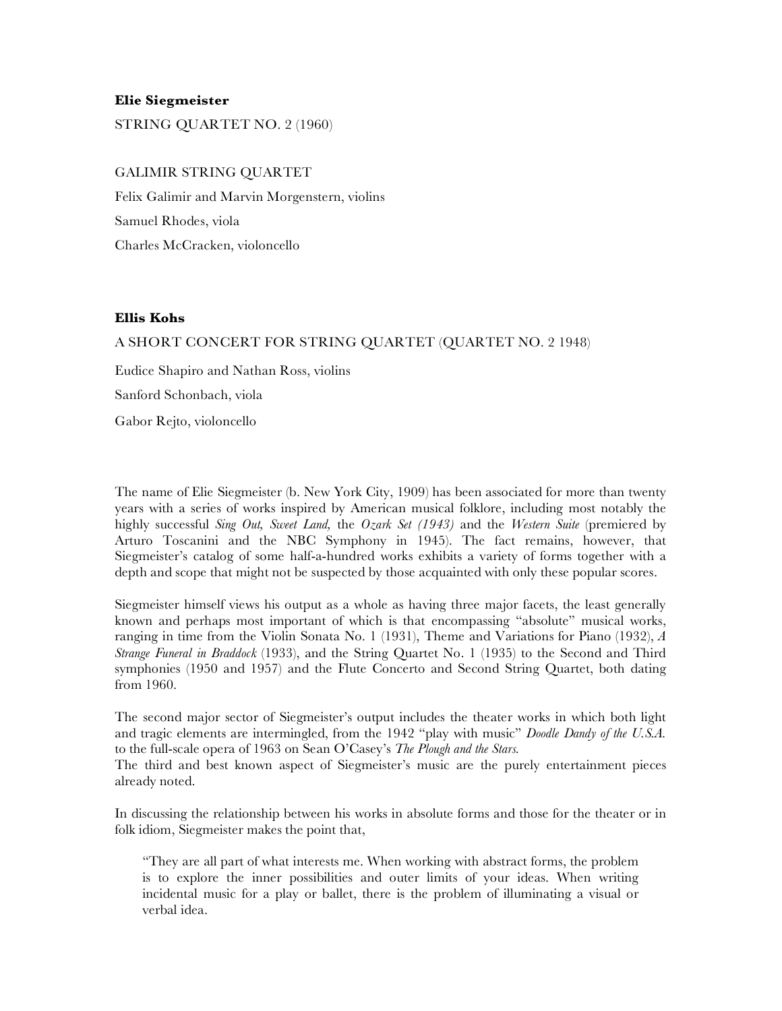## **Elie Siegmeister**

STRING QUARTET NO. 2 (1960)

## GALIMIR STRING QUARTET

Felix Galimir and Marvin Morgenstern, violins Samuel Rhodes, viola Charles McCracken, violoncello

## **Ellis Kohs**

## A SHORT CONCERT FOR STRING QUARTET (QUARTET NO. 2 1948)

Eudice Shapiro and Nathan Ross, violins Sanford Schonbach, viola Gabor Rejto, violoncello

The name of Elie Siegmeister (b. New York City, 1909) has been associated for more than twenty years with a series of works inspired by American musical folklore, including most notably the highly successful *Sing Out, Sweet Land,* the *Ozark Set (1943)* and the *Western Suite* (premiered by Arturo Toscanini and the NBC Symphony in 1945). The fact remains, however, that Siegmeister's catalog of some half-a-hundred works exhibits a variety of forms together with a depth and scope that might not be suspected by those acquainted with only these popular scores.

Siegmeister himself views his output as a whole as having three major facets, the least generally known and perhaps most important of which is that encompassing "absolute" musical works, ranging in time from the Violin Sonata No. 1 (1931), Theme and Variations for Piano (1932), *A Strange Funeral in Braddock* (1933), and the String Quartet No. 1 (1935) to the Second and Third symphonies (1950 and 1957) and the Flute Concerto and Second String Quartet, both dating from 1960.

The second major sector of Siegmeister's output includes the theater works in which both light and tragic elements are intermingled, from the 1942 "play with music" *Doodle Dandy of the U.S.A.*  to the full-scale opera of 1963 on Sean O'Casey's *The Plough and the Stars.*

The third and best known aspect of Siegmeister's music are the purely entertainment pieces already noted.

In discussing the relationship between his works in absolute forms and those for the theater or in folk idiom, Siegmeister makes the point that,

"They are all part of what interests me. When working with abstract forms, the problem is to explore the inner possibilities and outer limits of your ideas. When writing incidental music for a play or ballet, there is the problem of illuminating a visual or verbal idea.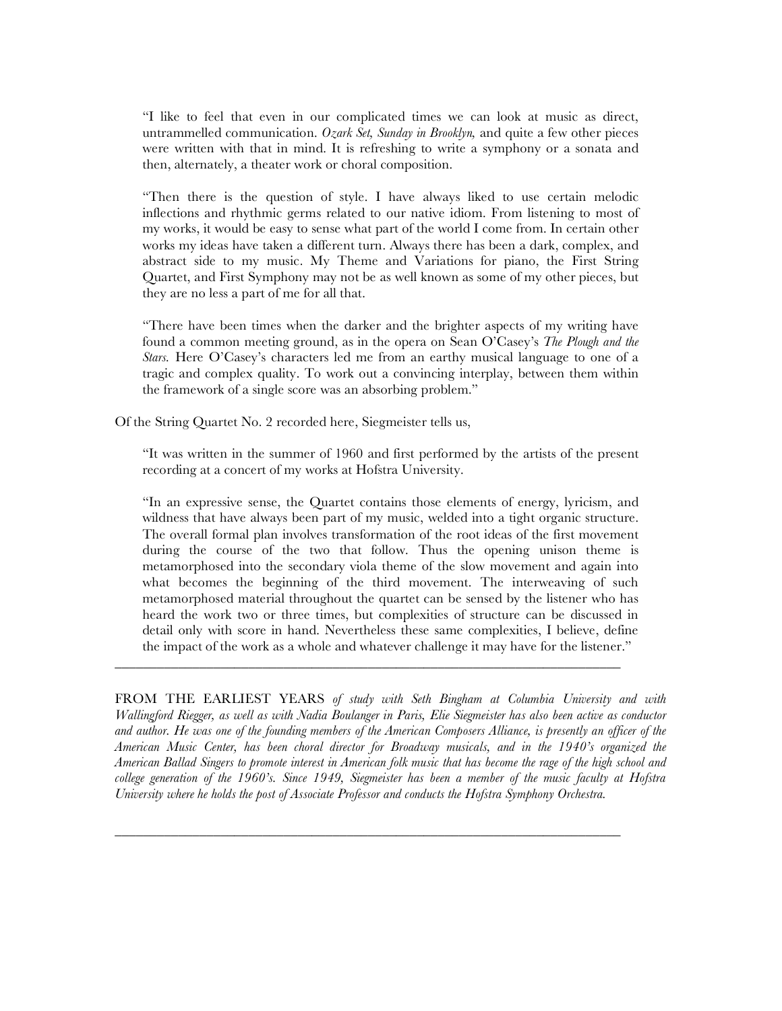"I like to feel that even in our complicated times we can look at music as direct, untrammelled communication. *Ozark Set, Sunday in Brooklyn,* and quite a few other pieces were written with that in mind. It is refreshing to write a symphony or a sonata and then, alternately, a theater work or choral composition.

"Then there is the question of style. I have always liked to use certain melodic inflections and rhythmic germs related to our native idiom. From listening to most of my works, it would be easy to sense what part of the world I come from. In certain other works my ideas have taken a different turn. Always there has been a dark, complex, and abstract side to my music. My Theme and Variations for piano, the First String Quartet, and First Symphony may not be as well known as some of my other pieces, but they are no less a part of me for all that.

"There have been times when the darker and the brighter aspects of my writing have found a common meeting ground, as in the opera on Sean O'Casey's *The Plough and the Stars.* Here O'Casey's characters led me from an earthy musical language to one of a tragic and complex quality. To work out a convincing interplay, between them within the framework of a single score was an absorbing problem."

Of the String Quartet No. 2 recorded here, Siegmeister tells us,

"It was written in the summer of 1960 and first performed by the artists of the present recording at a concert of my works at Hofstra University.

"In an expressive sense, the Quartet contains those elements of energy, lyricism, and wildness that have always been part of my music, welded into a tight organic structure. The overall formal plan involves transformation of the root ideas of the first movement during the course of the two that follow. Thus the opening unison theme is metamorphosed into the secondary viola theme of the slow movement and again into what becomes the beginning of the third movement. The interweaving of such metamorphosed material throughout the quartet can be sensed by the listener who has heard the work two or three times, but complexities of structure can be discussed in detail only with score in hand. Nevertheless these same complexities, I believe, define the impact of the work as a whole and whatever challenge it may have for the listener."

FROM THE EARLIEST YEARS *of study with Seth Bingham at Columbia University and with Wallingford Riegger, as well as with Nadia Boulanger in Paris, Elie Siegmeister has also been active as conductor*  and author. He was one of the founding members of the American Composers Alliance, is presently an officer of the *American Music Center, has been choral director for Broadway musicals, and in the 1940's organized the American Ballad Singers to promote interest in American folk music that has become the rage of the high school and college generation of the 1960's. Since 1949, Siegmeister has been a member of the music faculty at Hofstra University where he holds the post of Associate Professor and conducts the Hofstra Symphony Orchestra.*

\_\_\_\_\_\_\_\_\_\_\_\_\_\_\_\_\_\_\_\_\_\_\_\_\_\_\_\_\_\_\_\_\_\_\_\_\_\_\_\_\_\_\_\_\_\_\_\_\_\_\_\_\_\_\_\_\_\_\_\_\_\_\_\_\_\_\_\_\_\_\_\_

\_\_\_\_\_\_\_\_\_\_\_\_\_\_\_\_\_\_\_\_\_\_\_\_\_\_\_\_\_\_\_\_\_\_\_\_\_\_\_\_\_\_\_\_\_\_\_\_\_\_\_\_\_\_\_\_\_\_\_\_\_\_\_\_\_\_\_\_\_\_\_\_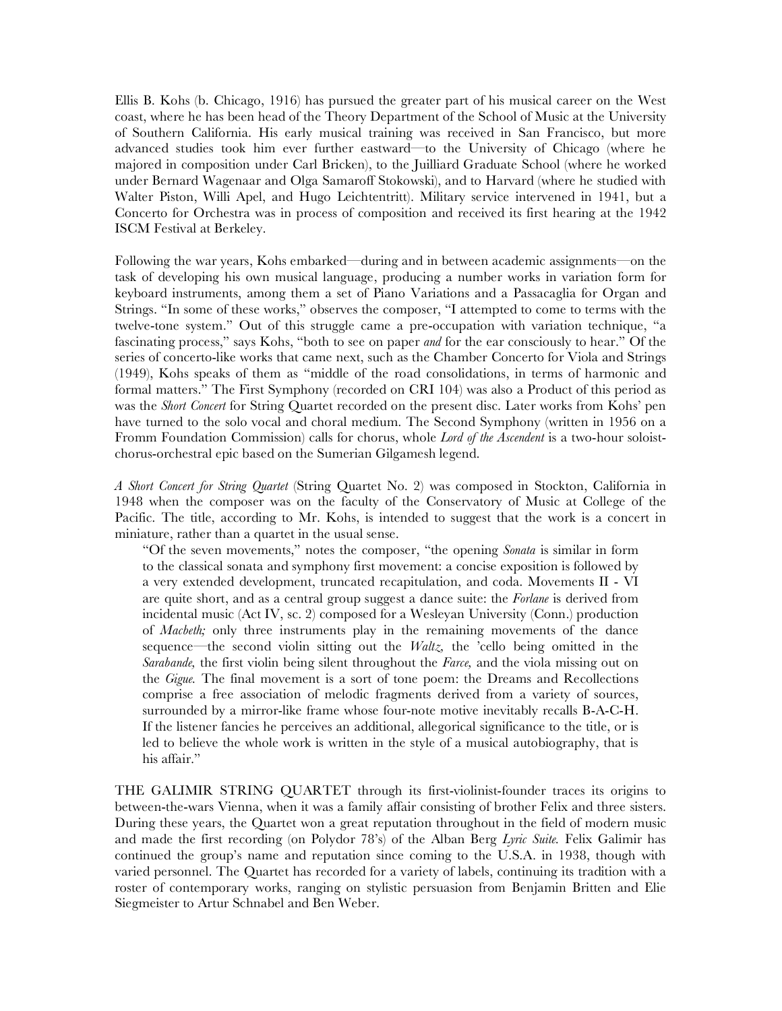Ellis B. Kohs (b. Chicago, 1916) has pursued the greater part of his musical career on the West coast, where he has been head of the Theory Department of the School of Music at the University of Southern California. His early musical training was received in San Francisco, but more advanced studies took him ever further eastward—to the University of Chicago (where he majored in composition under Carl Bricken), to the Juilliard Graduate School (where he worked under Bernard Wagenaar and Olga Samaroff Stokowski), and to Harvard (where he studied with Walter Piston, Willi Apel, and Hugo Leichtentritt). Military service intervened in 1941, but a Concerto for Orchestra was in process of composition and received its first hearing at the 1942 ISCM Festival at Berkeley.

Following the war years, Kohs embarked—during and in between academic assignments—on the task of developing his own musical language, producing a number works in variation form for keyboard instruments, among them a set of Piano Variations and a Passacaglia for Organ and Strings. "In some of these works," observes the composer, "I attempted to come to terms with the twelve-tone system." Out of this struggle came a pre-occupation with variation technique, "a fascinating process," says Kohs, "both to see on paper *and* for the ear consciously to hear." Of the series of concerto-like works that came next, such as the Chamber Concerto for Viola and Strings (1949), Kohs speaks of them as "middle of the road consolidations, in terms of harmonic and formal matters." The First Symphony (recorded on CRI 104) was also a Product of this period as was the *Short Concert* for String Quartet recorded on the present disc. Later works from Kohs' pen have turned to the solo vocal and choral medium. The Second Symphony (written in 1956 on a Fromm Foundation Commission) calls for chorus, whole *Lord of the Ascendent* is a two-hour soloistchorus-orchestral epic based on the Sumerian Gilgamesh legend.

*A Short Concert for String Quartet* (String Quartet No. 2) was composed in Stockton, California in 1948 when the composer was on the faculty of the Conservatory of Music at College of the Pacific. The title, according to Mr. Kohs, is intended to suggest that the work is a concert in miniature, rather than a quartet in the usual sense.

"Of the seven movements," notes the composer, "the opening *Sonata* is similar in form to the classical sonata and symphony first movement: a concise exposition is followed by a very extended development, truncated recapitulation, and coda. Movements II - VI are quite short, and as a central group suggest a dance suite: the *Forlane* is derived from incidental music (Act IV, sc. 2) composed for a Wesleyan University (Conn.) production of *Macbeth;* only three instruments play in the remaining movements of the dance sequence—the second violin sitting out the *Waltz,* the 'cello being omitted in the *Sarabande,* the first violin being silent throughout the *Farce,* and the viola missing out on the *Gigue.* The final movement is a sort of tone poem: the Dreams and Recollections comprise a free association of melodic fragments derived from a variety of sources, surrounded by a mirror-like frame whose four-note motive inevitably recalls B-A-C-H. If the listener fancies he perceives an additional, allegorical significance to the title, or is led to believe the whole work is written in the style of a musical autobiography, that is his affair."

THE GALIMIR STRING QUARTET through its first-violinist-founder traces its origins to between-the-wars Vienna, when it was a family affair consisting of brother Felix and three sisters. During these years, the Quartet won a great reputation throughout in the field of modern music and made the first recording (on Polydor 78's) of the Alban Berg *Lyric Suite.* Felix Galimir has continued the group's name and reputation since coming to the U.S.A. in 1938, though with varied personnel. The Quartet has recorded for a variety of labels, continuing its tradition with a roster of contemporary works, ranging on stylistic persuasion from Benjamin Britten and Elie Siegmeister to Artur Schnabel and Ben Weber.